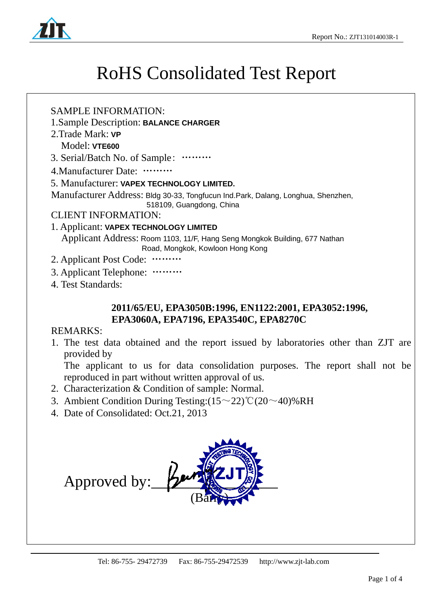

### RoHS Consolidated Test Report

#### SAMPLE INFORMATION:

- 1.Sample Description: **BALANCE CHARGER**
- 2.Trade Mark: **VP**

Model: **VTE600** 

3. Serial/Batch No. of Sample: ………

4.Manufacturer Date: ………

#### 5. Manufacturer: **VAPEX TECHNOLOGY LIMITED.**

Manufacturer Address: Bldg 30-33, Tongfucun Ind.Park, Dalang, Longhua, Shenzhen,

518109, Guangdong, China

#### CLIENT INFORMATION:

#### 1. Applicant: **VAPEX TECHNOLOGY LIMITED**

Applicant Address: Room 1103, 11/F, Hang Seng Mongkok Building, 677 Nathan Road, Mongkok, Kowloon Hong Kong

- 2. Applicant Post Code: ………
- 3. Applicant Telephone: ………
- 4. Test Standards:

#### **2011/65/EU, EPA3050B:1996, EN1122:2001, EPA3052:1996, EPA3060A, EPA7196, EPA3540C, EPA8270C**

#### REMARKS:

.

1. The test data obtained and the report issued by laboratories other than ZJT are provided by

The applicant to us for data consolidation purposes. The report shall not be reproduced in part without written approval of us.

- 2. Characterization & Condition of sample: Normal.
- 3. Ambient Condition During Testing: $(15~22)$ °C $(20~40)$ %RH
- 4. Date of Consolidated: Oct.21, 2013

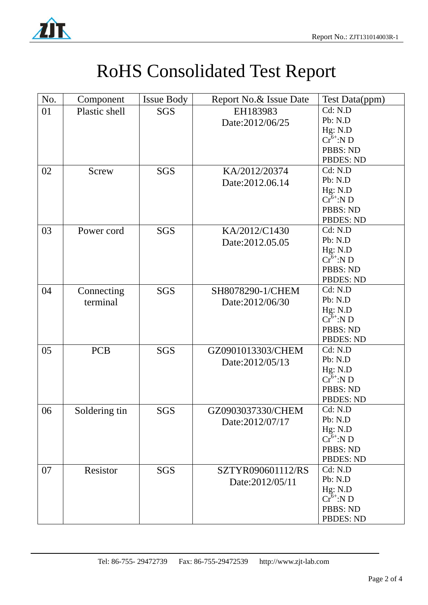

.

## RoHS Consolidated Test Report

| $Cr6+:ND$                                                                                                                                               |
|---------------------------------------------------------------------------------------------------------------------------------------------------------|
| <b>PBBS: ND</b>                                                                                                                                         |
| <b>PBDES: ND</b>                                                                                                                                        |
|                                                                                                                                                         |
|                                                                                                                                                         |
|                                                                                                                                                         |
|                                                                                                                                                         |
| PBBS: ND                                                                                                                                                |
| <b>PBDES: ND</b>                                                                                                                                        |
|                                                                                                                                                         |
|                                                                                                                                                         |
|                                                                                                                                                         |
| <b>PBBS: ND</b>                                                                                                                                         |
| <b>PBDES: ND</b>                                                                                                                                        |
|                                                                                                                                                         |
|                                                                                                                                                         |
|                                                                                                                                                         |
|                                                                                                                                                         |
| PBBS: ND                                                                                                                                                |
| <b>PBDES: ND</b>                                                                                                                                        |
|                                                                                                                                                         |
|                                                                                                                                                         |
|                                                                                                                                                         |
|                                                                                                                                                         |
| <b>PBBS: ND</b>                                                                                                                                         |
| <b>PBDES: ND</b>                                                                                                                                        |
|                                                                                                                                                         |
|                                                                                                                                                         |
|                                                                                                                                                         |
| <b>PBBS: ND</b>                                                                                                                                         |
| <b>PBDES: ND</b>                                                                                                                                        |
|                                                                                                                                                         |
|                                                                                                                                                         |
|                                                                                                                                                         |
|                                                                                                                                                         |
| <b>PBBS: ND</b>                                                                                                                                         |
| <b>PBDES: ND</b>                                                                                                                                        |
| $Cr^{6+}$ :N D<br>$Cr^{6+}$ :N D<br>$\tilde{\mathrm{Cr}}^{6+}$ :N D<br>$\tilde{\mathrm{Cr}}^{6+}$ :N D<br>$\tilde{\mathrm{Cr}}^{6+}$ :N D<br>$Cr6+:N D$ |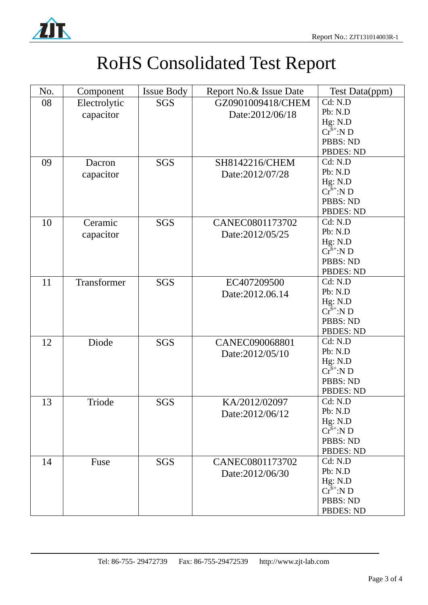

.

# RoHS Consolidated Test Report

| No. | Component    | <b>Issue Body</b> | Report No.& Issue Date | Test Data(ppm)                  |
|-----|--------------|-------------------|------------------------|---------------------------------|
| 08  | Electrolytic | <b>SGS</b>        | GZ0901009418/CHEM      | Cd: N.D                         |
|     | capacitor    |                   | Date:2012/06/18        | Pb: N.D                         |
|     |              |                   |                        | Hg: N.D                         |
|     |              |                   |                        | $\tilde{\mathrm{Cr}}^{6+}$ :N D |
|     |              |                   |                        | PBBS: ND                        |
|     |              |                   |                        | <b>PBDES: ND</b>                |
| 09  | Dacron       | <b>SGS</b>        | SH8142216/CHEM         | Cd: N.D                         |
|     | capacitor    |                   | Date:2012/07/28        | Pb: N.D                         |
|     |              |                   |                        | Hg: N.D                         |
|     |              |                   |                        | $Cr6+:N D$                      |
|     |              |                   |                        | PBBS: ND                        |
|     |              |                   |                        | <b>PBDES: ND</b>                |
| 10  | Ceramic      | <b>SGS</b>        | CANEC0801173702        | Cd: N.D                         |
|     | capacitor    |                   | Date:2012/05/25        | Pb: N.D                         |
|     |              |                   |                        | Hg: N.D                         |
|     |              |                   |                        | $\tilde{\mathrm{Cr}}^{6+}$ :N D |
|     |              |                   |                        | PBBS: ND                        |
|     |              |                   |                        | <b>PBDES: ND</b>                |
| 11  | Transformer  | <b>SGS</b>        | EC407209500            | Cd: N.D                         |
|     |              |                   | Date:2012.06.14        | Pb: N.D                         |
|     |              |                   |                        | Hg: N.D                         |
|     |              |                   |                        | $Cr^{6+}$ :N D                  |
|     |              |                   |                        | PBBS: ND                        |
|     |              |                   |                        | <b>PBDES: ND</b>                |
| 12  | Diode        | <b>SGS</b>        | CANEC090068801         | Cd: N.D                         |
|     |              |                   | Date:2012/05/10        | Pb: N.D                         |
|     |              |                   |                        | Hg: N.D                         |
|     |              |                   |                        | $Cr^{6+}$ :N D                  |
|     |              |                   |                        | PBBS: ND                        |
|     |              |                   |                        | <b>PBDES: ND</b>                |
| 13  | Triode       | <b>SGS</b>        | KA/2012/02097          | Cd: N.D                         |
|     |              |                   | Date:2012/06/12        | Pb: N.D                         |
|     |              |                   |                        | Hg: N.D                         |
|     |              |                   |                        | $Cr^{6+}$ :N D                  |
|     |              |                   |                        | PBBS: ND                        |
|     |              |                   |                        | <b>PBDES: ND</b>                |
| 14  | Fuse         | <b>SGS</b>        | CANEC0801173702        | Cd: N.D                         |
|     |              |                   | Date:2012/06/30        | Pb: N.D                         |
|     |              |                   |                        | Hg: N.D                         |
|     |              |                   |                        | $\tilde{\mathrm{Cr}}^{6+}$ :N D |
|     |              |                   |                        | PBBS: ND                        |
|     |              |                   |                        | <b>PBDES: ND</b>                |